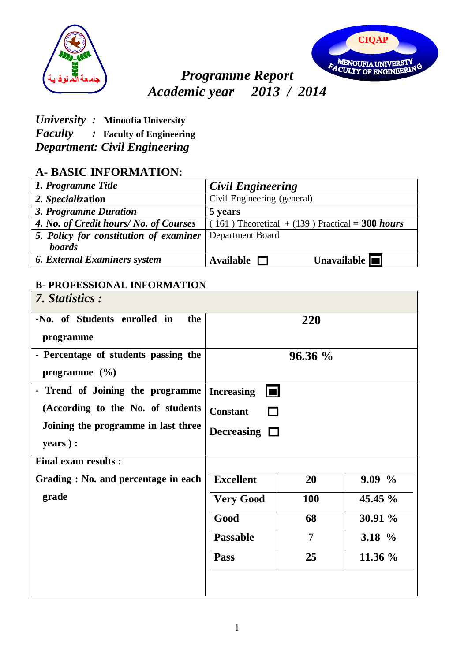



# *Programme Report Academic year 2013 / 2014*

## *University :* **Minoufia University**

*Faculty :* **Faculty of Engineering**

*Department: Civil Engineering* 

## **A- BASIC INFORMATION:**

| 1. Programme Title                     | <b>Civil Engineering</b>                          |
|----------------------------------------|---------------------------------------------------|
| 2. Specialization                      | Civil Engineering (general)                       |
| 3. Programme Duration                  | 5 years                                           |
| 4. No. of Credit hours/ No. of Courses | $(161)$ Theoretical + (139) Practical = 300 hours |
| 5. Policy for constitution of examiner | Department Board                                  |
| <b>boards</b>                          |                                                   |
| <b>6. External Examiners system</b>    | Unavailable $\blacksquare$<br><b>Available</b>    |

#### **B- PROFESSIONAL INFORMATION**

| 7. Statistics:                                                    |                                     |                |          |  |
|-------------------------------------------------------------------|-------------------------------------|----------------|----------|--|
| -No. of Students enrolled in<br>the<br>programme                  |                                     | 220            |          |  |
| - Percentage of students passing the<br>programme $(\frac{6}{6})$ |                                     | $96.36\%$      |          |  |
| - Trend of Joining the programme                                  | <b>Increasing</b><br>$\blacksquare$ |                |          |  |
| (According to the No. of students                                 | <b>Constant</b>                     |                |          |  |
| Joining the programme in last three                               | Decreasing $\square$                |                |          |  |
| years):                                                           |                                     |                |          |  |
| <b>Final exam results:</b>                                        |                                     |                |          |  |
| Grading: No. and percentage in each                               | <b>Excellent</b>                    | 20             | $9.09\%$ |  |
| grade                                                             | <b>Very Good</b>                    | <b>100</b>     | 45.45 %  |  |
|                                                                   | Good                                | 68             | 30.91 %  |  |
|                                                                   | <b>Passable</b>                     | $\overline{7}$ | 3.18 $%$ |  |
|                                                                   | Pass                                | 25             | 11.36 %  |  |
|                                                                   |                                     |                |          |  |
|                                                                   |                                     |                |          |  |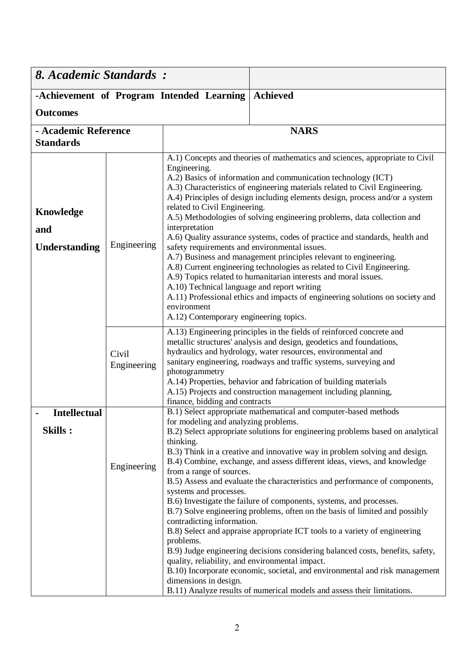| 8. Academic Standards:                                                                                                                                                                     |                      |                                                                                                                                                                                                                                                                                                                                                                                                                                                                              |                                                                                                                                                                                                                                                                                                                                                                                                                                                                                                                                                                                                                                                                                                                                                                                                                                                                            |  |
|--------------------------------------------------------------------------------------------------------------------------------------------------------------------------------------------|----------------------|------------------------------------------------------------------------------------------------------------------------------------------------------------------------------------------------------------------------------------------------------------------------------------------------------------------------------------------------------------------------------------------------------------------------------------------------------------------------------|----------------------------------------------------------------------------------------------------------------------------------------------------------------------------------------------------------------------------------------------------------------------------------------------------------------------------------------------------------------------------------------------------------------------------------------------------------------------------------------------------------------------------------------------------------------------------------------------------------------------------------------------------------------------------------------------------------------------------------------------------------------------------------------------------------------------------------------------------------------------------|--|
| <b>Achieved</b><br>-Achievement of Program Intended Learning                                                                                                                               |                      |                                                                                                                                                                                                                                                                                                                                                                                                                                                                              |                                                                                                                                                                                                                                                                                                                                                                                                                                                                                                                                                                                                                                                                                                                                                                                                                                                                            |  |
| <b>Outcomes</b>                                                                                                                                                                            |                      |                                                                                                                                                                                                                                                                                                                                                                                                                                                                              |                                                                                                                                                                                                                                                                                                                                                                                                                                                                                                                                                                                                                                                                                                                                                                                                                                                                            |  |
| - Academic Reference<br><b>Standards</b>                                                                                                                                                   |                      |                                                                                                                                                                                                                                                                                                                                                                                                                                                                              | <b>NARS</b>                                                                                                                                                                                                                                                                                                                                                                                                                                                                                                                                                                                                                                                                                                                                                                                                                                                                |  |
| Engineering.<br>related to Civil Engineering.<br><b>Knowledge</b><br>interpretation<br>and<br>Engineering<br><b>Understanding</b><br>environment<br>A.12) Contemporary engineering topics. |                      |                                                                                                                                                                                                                                                                                                                                                                                                                                                                              | A.1) Concepts and theories of mathematics and sciences, appropriate to Civil<br>A.2) Basics of information and communication technology (ICT)<br>A.3) Characteristics of engineering materials related to Civil Engineering.<br>A.4) Principles of design including elements design, process and/or a system<br>A.5) Methodologies of solving engineering problems, data collection and<br>A.6) Quality assurance systems, codes of practice and standards, health and<br>safety requirements and environmental issues.<br>A.7) Business and management principles relevant to engineering.<br>A.8) Current engineering technologies as related to Civil Engineering.<br>A.9) Topics related to humanitarian interests and moral issues.<br>A.10) Technical language and report writing<br>A.11) Professional ethics and impacts of engineering solutions on society and   |  |
|                                                                                                                                                                                            | Civil<br>Engineering | A.13) Engineering principles in the fields of reinforced concrete and<br>metallic structures' analysis and design, geodetics and foundations,<br>hydraulics and hydrology, water resources, environmental and<br>sanitary engineering, roadways and traffic systems, surveying and<br>photogrammetry<br>A.14) Properties, behavior and fabrication of building materials<br>A.15) Projects and construction management including planning,<br>finance, bidding and contracts |                                                                                                                                                                                                                                                                                                                                                                                                                                                                                                                                                                                                                                                                                                                                                                                                                                                                            |  |
| <b>Intellectual</b><br><b>Skills:</b>                                                                                                                                                      | Engineering          | for modeling and analyzing problems.<br>thinking.<br>from a range of sources.<br>systems and processes.<br>contradicting information.<br>problems.<br>quality, reliability, and environmental impact.<br>dimensions in design.                                                                                                                                                                                                                                               | B.1) Select appropriate mathematical and computer-based methods<br>B.2) Select appropriate solutions for engineering problems based on analytical<br>B.3) Think in a creative and innovative way in problem solving and design.<br>B.4) Combine, exchange, and assess different ideas, views, and knowledge<br>B.5) Assess and evaluate the characteristics and performance of components,<br>B.6) Investigate the failure of components, systems, and processes.<br>B.7) Solve engineering problems, often on the basis of limited and possibly<br>B.8) Select and appraise appropriate ICT tools to a variety of engineering<br>B.9) Judge engineering decisions considering balanced costs, benefits, safety,<br>B.10) Incorporate economic, societal, and environmental and risk management<br>B.11) Analyze results of numerical models and assess their limitations. |  |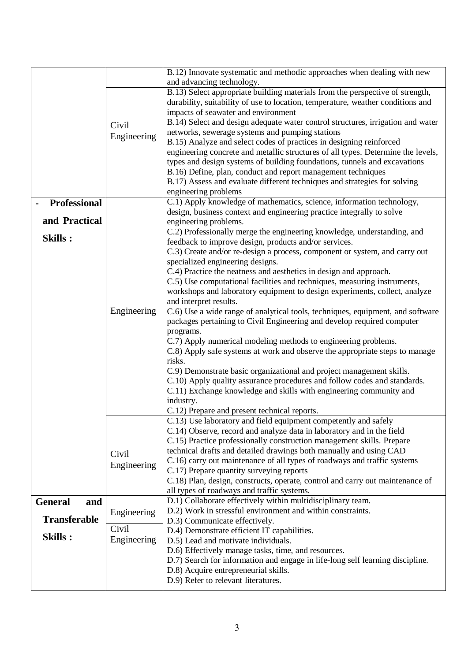|                       |                      | B.12) Innovate systematic and methodic approaches when dealing with new<br>and advancing technology.                                                                                                                                                                                                                                                                                                                                                                                                                                                                                                                                                  |  |
|-----------------------|----------------------|-------------------------------------------------------------------------------------------------------------------------------------------------------------------------------------------------------------------------------------------------------------------------------------------------------------------------------------------------------------------------------------------------------------------------------------------------------------------------------------------------------------------------------------------------------------------------------------------------------------------------------------------------------|--|
|                       | Civil<br>Engineering | B.13) Select appropriate building materials from the perspective of strength,<br>durability, suitability of use to location, temperature, weather conditions and<br>impacts of seawater and environment<br>B.14) Select and design adequate water control structures, irrigation and water<br>networks, sewerage systems and pumping stations<br>B.15) Analyze and select codes of practices in designing reinforced<br>engineering concrete and metallic structures of all types. Determine the levels,<br>types and design systems of building foundations, tunnels and excavations<br>B.16) Define, plan, conduct and report management techniques |  |
|                       |                      | B.17) Assess and evaluate different techniques and strategies for solving                                                                                                                                                                                                                                                                                                                                                                                                                                                                                                                                                                             |  |
|                       |                      | engineering problems                                                                                                                                                                                                                                                                                                                                                                                                                                                                                                                                                                                                                                  |  |
| <b>Professional</b>   |                      | C.1) Apply knowledge of mathematics, science, information technology,<br>design, business context and engineering practice integrally to solve                                                                                                                                                                                                                                                                                                                                                                                                                                                                                                        |  |
| and Practical         |                      | engineering problems.                                                                                                                                                                                                                                                                                                                                                                                                                                                                                                                                                                                                                                 |  |
| Skills:               |                      | C.2) Professionally merge the engineering knowledge, understanding, and<br>feedback to improve design, products and/or services.                                                                                                                                                                                                                                                                                                                                                                                                                                                                                                                      |  |
|                       |                      | C.3) Create and/or re-design a process, component or system, and carry out                                                                                                                                                                                                                                                                                                                                                                                                                                                                                                                                                                            |  |
|                       |                      | specialized engineering designs.                                                                                                                                                                                                                                                                                                                                                                                                                                                                                                                                                                                                                      |  |
|                       |                      | C.4) Practice the neatness and aesthetics in design and approach.<br>C.5) Use computational facilities and techniques, measuring instruments,                                                                                                                                                                                                                                                                                                                                                                                                                                                                                                         |  |
|                       |                      | workshops and laboratory equipment to design experiments, collect, analyze                                                                                                                                                                                                                                                                                                                                                                                                                                                                                                                                                                            |  |
|                       | Engineering          | and interpret results.                                                                                                                                                                                                                                                                                                                                                                                                                                                                                                                                                                                                                                |  |
|                       |                      | C.6) Use a wide range of analytical tools, techniques, equipment, and software<br>packages pertaining to Civil Engineering and develop required computer                                                                                                                                                                                                                                                                                                                                                                                                                                                                                              |  |
|                       |                      | programs.                                                                                                                                                                                                                                                                                                                                                                                                                                                                                                                                                                                                                                             |  |
|                       |                      | C.7) Apply numerical modeling methods to engineering problems.                                                                                                                                                                                                                                                                                                                                                                                                                                                                                                                                                                                        |  |
|                       |                      | C.8) Apply safe systems at work and observe the appropriate steps to manage<br>risks.                                                                                                                                                                                                                                                                                                                                                                                                                                                                                                                                                                 |  |
|                       |                      | C.9) Demonstrate basic organizational and project management skills.                                                                                                                                                                                                                                                                                                                                                                                                                                                                                                                                                                                  |  |
|                       |                      | C.10) Apply quality assurance procedures and follow codes and standards.                                                                                                                                                                                                                                                                                                                                                                                                                                                                                                                                                                              |  |
|                       |                      | C.11) Exchange knowledge and skills with engineering community and                                                                                                                                                                                                                                                                                                                                                                                                                                                                                                                                                                                    |  |
|                       |                      | industry.                                                                                                                                                                                                                                                                                                                                                                                                                                                                                                                                                                                                                                             |  |
|                       |                      | C.12) Prepare and present technical reports.<br>C.13) Use laboratory and field equipment competently and safely                                                                                                                                                                                                                                                                                                                                                                                                                                                                                                                                       |  |
|                       |                      | C.14) Observe, record and analyze data in laboratory and in the field                                                                                                                                                                                                                                                                                                                                                                                                                                                                                                                                                                                 |  |
|                       |                      | C.15) Practice professionally construction management skills. Prepare                                                                                                                                                                                                                                                                                                                                                                                                                                                                                                                                                                                 |  |
|                       | Civil                | technical drafts and detailed drawings both manually and using CAD                                                                                                                                                                                                                                                                                                                                                                                                                                                                                                                                                                                    |  |
|                       | Engineering          | C.16) carry out maintenance of all types of roadways and traffic systems                                                                                                                                                                                                                                                                                                                                                                                                                                                                                                                                                                              |  |
|                       |                      | C.17) Prepare quantity surveying reports<br>C.18) Plan, design, constructs, operate, control and carry out maintenance of                                                                                                                                                                                                                                                                                                                                                                                                                                                                                                                             |  |
|                       |                      | all types of roadways and traffic systems.                                                                                                                                                                                                                                                                                                                                                                                                                                                                                                                                                                                                            |  |
| <b>General</b><br>and |                      | D.1) Collaborate effectively within multidisciplinary team.                                                                                                                                                                                                                                                                                                                                                                                                                                                                                                                                                                                           |  |
|                       | Engineering          | D.2) Work in stressful environment and within constraints.                                                                                                                                                                                                                                                                                                                                                                                                                                                                                                                                                                                            |  |
| <b>Transferable</b>   | Civil                | D.3) Communicate effectively.                                                                                                                                                                                                                                                                                                                                                                                                                                                                                                                                                                                                                         |  |
| <b>Skills:</b>        | Engineering          | D.4) Demonstrate efficient IT capabilities.<br>D.5) Lead and motivate individuals.                                                                                                                                                                                                                                                                                                                                                                                                                                                                                                                                                                    |  |
|                       |                      | D.6) Effectively manage tasks, time, and resources.                                                                                                                                                                                                                                                                                                                                                                                                                                                                                                                                                                                                   |  |
|                       |                      | D.7) Search for information and engage in life-long self learning discipline.                                                                                                                                                                                                                                                                                                                                                                                                                                                                                                                                                                         |  |
|                       |                      | D.8) Acquire entrepreneurial skills.                                                                                                                                                                                                                                                                                                                                                                                                                                                                                                                                                                                                                  |  |
|                       |                      | D.9) Refer to relevant literatures.                                                                                                                                                                                                                                                                                                                                                                                                                                                                                                                                                                                                                   |  |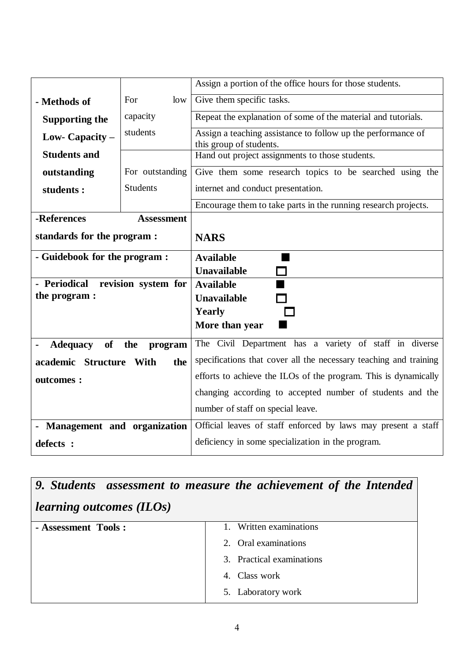|                                   |                     | Assign a portion of the office hours for those students.                                |  |  |
|-----------------------------------|---------------------|-----------------------------------------------------------------------------------------|--|--|
| - Methods of                      | For<br>low          | Give them specific tasks.                                                               |  |  |
| capacity<br><b>Supporting the</b> |                     | Repeat the explanation of some of the material and tutorials.                           |  |  |
| Low- Capacity –                   | students            | Assign a teaching assistance to follow up the performance of<br>this group of students. |  |  |
| <b>Students and</b>               |                     | Hand out project assignments to those students.                                         |  |  |
| outstanding                       | For outstanding     | Give them some research topics to be searched using the                                 |  |  |
| students:                         | <b>Students</b>     | internet and conduct presentation.                                                      |  |  |
|                                   |                     | Encourage them to take parts in the running research projects.                          |  |  |
| -References                       | <b>Assessment</b>   |                                                                                         |  |  |
| standards for the program :       |                     | <b>NARS</b>                                                                             |  |  |
| - Guidebook for the program :     |                     | <b>Available</b>                                                                        |  |  |
|                                   |                     | <b>Unavailable</b>                                                                      |  |  |
| - Periodical                      | revision system for | <b>Available</b>                                                                        |  |  |
| the program :                     |                     | <b>Unavailable</b>                                                                      |  |  |
|                                   |                     | <b>Yearly</b>                                                                           |  |  |
|                                   |                     | More than year                                                                          |  |  |
| <b>of</b><br><b>Adequacy</b>      | the<br>program      | The Civil Department has a variety of staff in diverse                                  |  |  |
| academic Structure With           | the                 | specifications that cover all the necessary teaching and training                       |  |  |
| outcomes :                        |                     | efforts to achieve the ILOs of the program. This is dynamically                         |  |  |
|                                   |                     | changing according to accepted number of students and the                               |  |  |
|                                   |                     | number of staff on special leave.                                                       |  |  |
| - Management and organization     |                     | Official leaves of staff enforced by laws may present a staff                           |  |  |
| defects :                         |                     | deficiency in some specialization in the program.                                       |  |  |

|                                 | 9. Students assessment to measure the achievement of the Intended |  |  |  |
|---------------------------------|-------------------------------------------------------------------|--|--|--|
| <i>learning outcomes (ILOs)</i> |                                                                   |  |  |  |
| - Assessment Tools:             | Written examinations                                              |  |  |  |
|                                 | 2. Oral examinations                                              |  |  |  |
|                                 | 3. Practical examinations                                         |  |  |  |
|                                 | 4. Class work                                                     |  |  |  |
|                                 | 5. Laboratory work                                                |  |  |  |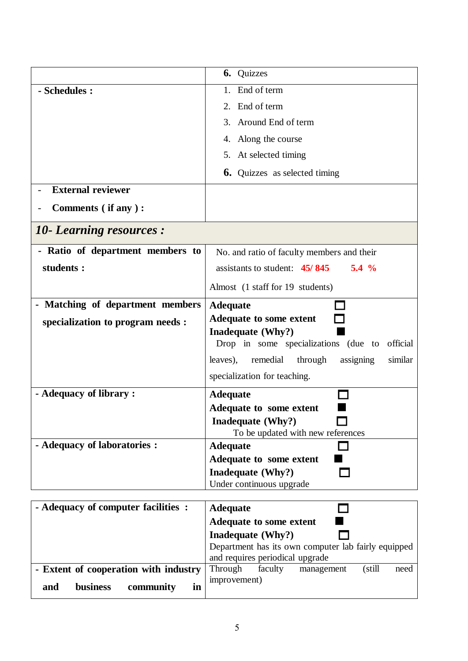|                                           | <b>6.</b> Quizzes                                                                      |
|-------------------------------------------|----------------------------------------------------------------------------------------|
| - Schedules :                             | End of term<br>1.                                                                      |
|                                           | End of term<br>2.                                                                      |
|                                           | Around End of term<br>3.                                                               |
|                                           | 4. Along the course                                                                    |
|                                           | 5. At selected timing                                                                  |
|                                           | <b>6.</b> Quizzes as selected timing                                                   |
| <b>External reviewer</b>                  |                                                                                        |
| Comments (if any):                        |                                                                                        |
| <b>10- Learning resources:</b>            |                                                                                        |
| - Ratio of department members to          | No. and ratio of faculty members and their                                             |
| students :                                | assistants to student: $45/845$<br>$5.4\%$                                             |
|                                           | Almost (1 staff for 19 students)                                                       |
| - Matching of department members          | <b>Adequate</b>                                                                        |
| specialization to program needs :         | <b>Adequate to some extent</b>                                                         |
|                                           | Inadequate (Why?)                                                                      |
|                                           | Drop in some specializations (due to official                                          |
|                                           | leaves),<br>remedial through<br>assigning<br>similar                                   |
|                                           | specialization for teaching.                                                           |
| - Adequacy of library :                   | <b>Adequate</b>                                                                        |
|                                           | <b>Adequate to some extent</b>                                                         |
|                                           | Inadequate (Why?)                                                                      |
| - Adequacy of laboratories :              | To be updated with new references<br><b>Adequate</b>                                   |
|                                           | Adequate to some extent                                                                |
|                                           | <b>Inadequate (Why?)</b>                                                               |
|                                           | Under continuous upgrade                                                               |
|                                           |                                                                                        |
| - Adequacy of computer facilities :       | <b>Adequate</b>                                                                        |
|                                           | <b>Adequate to some extent</b>                                                         |
|                                           | Inadequate (Why?)                                                                      |
|                                           | Department has its own computer lab fairly equipped<br>and requires periodical upgrade |
| - Extent of cooperation with industry     | Through<br>(still)<br>faculty<br>need<br>management                                    |
| <b>business</b><br>and<br>community<br>in | improvement)                                                                           |
|                                           |                                                                                        |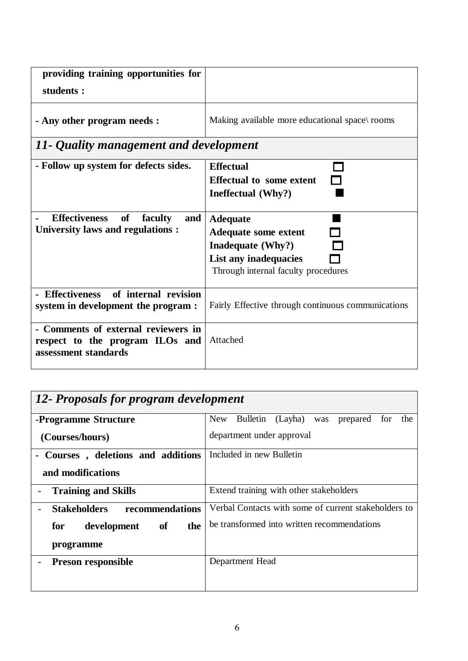| providing training opportunities for<br>students :                                             |                                                                                                                                     |  |
|------------------------------------------------------------------------------------------------|-------------------------------------------------------------------------------------------------------------------------------------|--|
| - Any other program needs :                                                                    | Making available more educational space\ rooms                                                                                      |  |
| 11- Quality management and development                                                         |                                                                                                                                     |  |
| - Follow up system for defects sides.                                                          | <b>Effectual</b><br><b>Effectual to some extent</b><br>Ineffectual (Why?)                                                           |  |
| <b>Effectiveness</b><br>of<br>faculty<br>and<br><b>University laws and regulations:</b>        | <b>Adequate</b><br><b>Adequate some extent</b><br>Inadequate (Why?)<br>List any inadequacies<br>Through internal faculty procedures |  |
| - Effectiveness of internal revision<br>system in development the program :                    | Fairly Effective through continuous communications                                                                                  |  |
| - Comments of external reviewers in<br>respect to the program ILOs and<br>assessment standards | Attached                                                                                                                            |  |

| 12- Proposals for program development  |                                                             |  |  |  |
|----------------------------------------|-------------------------------------------------------------|--|--|--|
| -Programme Structure                   | Bulletin<br>(Layha)<br>New<br>the<br>prepared<br>was<br>for |  |  |  |
| (Courses/hours)                        | department under approval                                   |  |  |  |
| - Courses, deletions and additions     | Included in new Bulletin                                    |  |  |  |
| and modifications                      |                                                             |  |  |  |
| <b>Training and Skills</b>             | Extend training with other stakeholders                     |  |  |  |
| recommendations<br><b>Stakeholders</b> | Verbal Contacts with some of current stakeholders to        |  |  |  |
| of<br>for<br>development<br>the        | be transformed into written recommendations                 |  |  |  |
| programme                              |                                                             |  |  |  |
| <b>Preson responsible</b>              | Department Head                                             |  |  |  |
|                                        |                                                             |  |  |  |